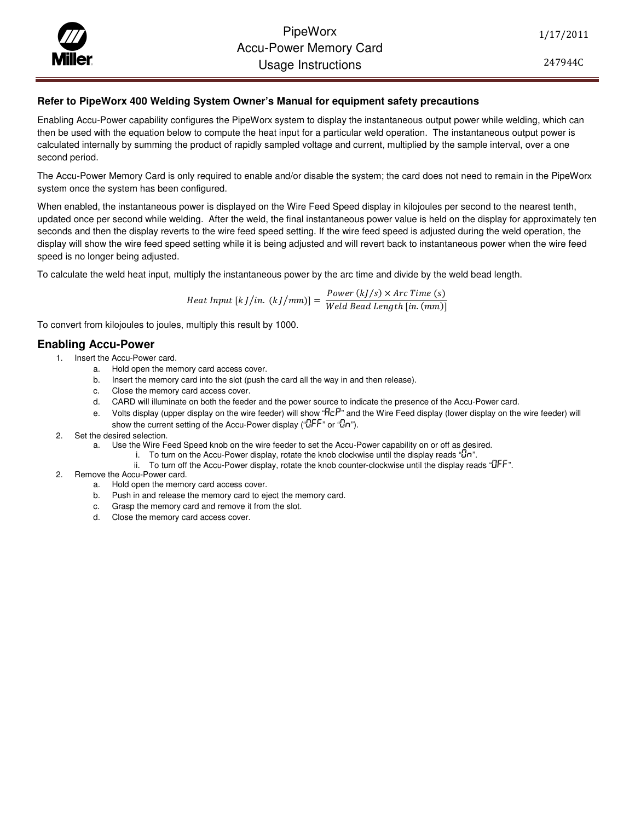PipeWorx<br>Accu-Power Memc<br>Usaqe Instructi Accu-Power Memory Card Usage Instructions

1/17/2011

247944C

## **Refer to PipeWorx 400 Welding System Owner's Manual for equipment safety precautions**

Enabling Accu-Power capability configures the PipeWorx system to display the instantaneous output power while welding, which can then be used with the equation below to compute the heat input for a particular weld operation. The instantaneous output power is calculated internally by summing the product of rapidly sampled voltage and current, multiplied by the sample interval, over a one second period.

The Accu-Power Memory Card is only required to enable and/or disable the system; the card does not need to remain in the PipeWorx system once the system has been configured.

When enabled, the instantaneous power is displayed on the Wire Feed Speed display in kilojoules per second to the nearest tenth, updated once per second while welding. After the weld, the final instantaneous power value is held on the display for approximately ten seconds and then the display reverts to the wire feed speed setting. If the wire feed speed is adjusted during the weld operation, the display will show the wire feed speed setting while it is being adjusted and will revert back to instantaneous power when the wire feed speed is no longer being adjusted.

To calculate the weld heat input, multiply the instantaneous power by the arc time and divide by the weld bead length.

Heat Input [k J/in.  $(kJ/mm)$ ] =  $\frac{Power(kJ/s) \times Arc Time(s)}{Wald Read Lmsch [in (mm))}$  $\lceil \ln \cdot (k \cdot l / \ln m) \rceil = \frac{1}{\text{Weld Bead Length} \left[ \ln \cdot (m m) \right]}$ 

To convert from kilojoules to joules, multiply this result by 1000.

## **Enabling Accu-Power**

- 1. Insert the Accu-Power card.
	- a. Hold open the memory card access cover.
	- b. Insert the memory card into the slot (push the card all the way in and then release).
	- c. Close the memory card access cover.
	- d. CARD will illuminate on both the feeder and the power source to indicate the presence of the Accu-Power card.
	- e. Volts display (upper display on the wire feeder) will show " $HeP$ " and the Wire Feed display (lower display on the wire feeder) will show the current setting of the Accu-Power display ("CLFF" or "Cn").
- 2. Set the desired selection.
	- a. Use the Wire Feed Speed knob on the wire feeder to set the Accu-Power capability on or off as desired.
		- i. To turn on the Accu-Power display, rotate the knob clockwise until the display reads " $\mathbb{J}$ n".
			- ii. To turn off the Accu-Power display, rotate the knob counter-clockwise until the display reads "UFF".
- 2. Remove the Accu-Power card.
	- a. Hold open the memory card access cover.
	- b. Push in and release the memory card to eject the memory card.
	- c. Grasp the memory card and remove it from the slot.
	- d. Close the memory card access cover.